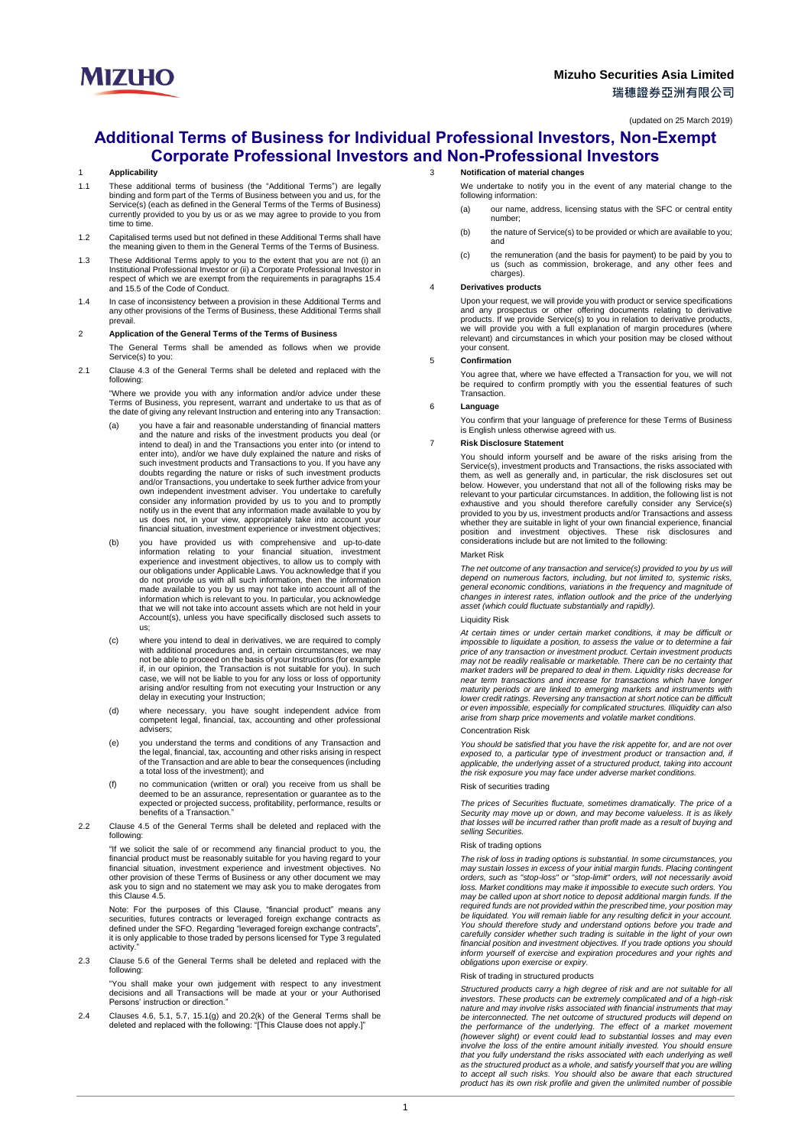

(updated on 25 March 2019)

# **Additional Terms of Business for Individual Professional Investors, Non-Exempt Corporate Professional Investors and Non-Professional Investors**

### 1 **Applicability**

- 1.1 These additional terms of business (the "Additional Terms") are legally binding and form part of the Terms of Business between you and us, for the Service(s) (each as defined in the General Terms of the Terms of Business) currently provided to you by us or as we may agree to provide to you from time to time.
- 1.2 Capitalised terms used but not defined in these Additional Terms shall have the meaning given to them in the General Terms of the Terms of Business.
- 1.3 These Additional Terms apply to you to the extent that you are not (i) an Institutional Professional Investor or (ii) a Corporate Professional Investor in respect of which we are exempt from the requirements in paragraphs 15.4 and 15.5 of the Code of Conduct.
- 1.4 In case of inconsistency between a provision in these Additional Terms and any other provisions of the Terms of Business, these Additional Terms shall prevail

# 2 **Application of the General Terms of the Terms of Business**

The General Terms shall be amended as follows when we provide Service(s) to you:

2.1 Clause 4.3 of the General Terms shall be deleted and replaced with the following:

"Where we provide you with any information and/or advice under these Terms of Business, you represent, warrant and undertake to us that as of the date of giving any relevant Instruction and entering into any Transaction:

- (a) you have a fair and reasonable understanding of financial matters and the nature and risks of the investment products you deal (or intend to deal) in and the Transactions you enter into (or intend to enter into), and/or we have duly explained the nature and risks of such investment products and Transactions to you. If you have any doubts regarding the nature or risks of such investment products and/or Transactions, you undertake to seek further advice from your own independent investment adviser. You undertake to carefully consider any information provided by us to you and to promptly notify us in the event that any information made available to you by us does not, in your view, appropriately take into account your financial situation, investment experience or investment objectives;
- (b) you have provided us with comprehensive and up-to-date information relating to your financial situation, investment experience and investment objectives, to allow us to comply with our obligations under Applicable Laws. You acknowledge that if you do not provide us with all such information, then the information made available to you by us may not take into account all of the information which is relevant to you. In particular, you acknowledge that we will not take into account assets which are not held in your Account(s), unless you have specifically disclosed such assets to us;
- (c) where you intend to deal in derivatives, we are required to comply with additional procedures and, in certain circumstances, we may not be able to proceed on the basis of your Instructions (for example if, in our opinion, the Transaction is not suitable for you). In such case, we will not be liable to you for any loss or loss of opportunity arising and/or resulting from not executing your Instruction or any delay in executing your Instruction;
- (d) where necessary, you have sought independent advice from competent legal, financial, tax, accounting and other professional advisers;
- (e) you understand the terms and conditions of any Transaction and the legal, financial, tax, accounting and other risks arising in respect of the Transaction and are able to bear the consequences (including a total loss of the investment); and
- (f) no communication (written or oral) you receive from us shall be deemed to be an assurance, representation or guarantee as to the expected or projected success, profitability, performance, results or benefits of a Transaction."
- 2.2 Clause 4.5 of the General Terms shall be deleted and replaced with the following:

"If we solicit the sale of or recommend any financial product to you, the financial product must be reasonably suitable for you having regard to your financial situation, investment experience and investment objectives. No other provision of these Terms of Business or any other document we may ask you to sign and no statement we may ask you to make derogates from this Clause 4.5.

Note: For the purposes of this Clause, "financial product" means any<br>securities, futures contracts or leveraged foreign exchange contracts as<br>defined under the SFO. Regarding "leveraged foreign exchange contracts",<br>it is o activity

2.3 Clause 5.6 of the General Terms shall be deleted and replaced with the following:

"You shall make your own judgement with respect to any investment decisions and all Transactions will be made at your or your Authorised Persons' instruction or direction."

2.4 Clauses 4.6, 5.1, 5.7, 15.1(g) and 20.2(k) of the General Terms shall be deleted and replaced with the following: "[This Clause does not apply.]"

#### 3 **Notification of material changes**

We undertake to notify you in the event of any material change to the following information:

- (a) our name, address, licensing status with the SFC or central entity number;
- (b) the nature of Service(s) to be provided or which are available to you; and
- (c) the remuneration (and the basis for payment) to be paid by you to us (such as commission, brokerage, and any other fees and charges).

### 4 **Derivatives products**

Upon your request, we will provide you with product or service specifications and any prospectus or other offering documents relating to derivative products. If we provide Service(s) to you in relation to derivative products, we will provide you with a full explanation of margin procedures (where relevant) and circumstances in which your position may be closed without your consent.

#### 5 **Confirmation**

You agree that, where we have effected a Transaction for you, we will not be required to confirm promptly with you the essential features of such Transaction.

#### 6 **Language**

You confirm that your language of preference for these Terms of Business is English unless otherwise agreed with us.

## 7 **Risk Disclosure Statement**

You should inform yourself and be aware of the risks arising from the Service(s), investment products and Transactions, the risks associated with them, as well as generally and, in particular, the risk disclosures set out below. However, you understand that not all of the following risks may be relevant to your particular circumstances. In addition, the following list is not exhaustive and you should therefore carefully consider any Service(s) exhaustive and you should therefore carefully consider any Service(s) provided to you by us, investment products and/or Transactions and assess whether they are suitable in light of your own financial experience, financial position and investment objectives. These risk disclosures and considerations include but are not limited to the following:

### Market Risk

*The net outcome of any transaction and service(s) provided to you by us will depend on numerous factors, including, but not limited to, systemic risks, general economic conditions, variations in the frequency and magnitude of changes in interest rates, inflation outlook and the price of the underlying asset (which could fluctuate substantially and rapidly).*

#### Liquidity Risk

*At certain times or under certain market conditions, it may be difficult or impossible to liquidate a position, to assess the value or to determine a fair*  price of any transaction or investment product. Certain investment products<br>may not be readily realisable or marketable. There can be no certainty that<br>market traders will be prepared to deal in them. Liquidity risks decre *near term transactions and increase for transactions which have longer near term transactions and increase for transactions which have longer* maturity periods or are linked to emerging markets and instruments with<br>lower credit ratings. Reversing any transaction at short notice can be difficult<br>or even impossible, especially for complicated structures. Illiquidit *arise from sharp price movements and volatile market conditions.*

#### Concentration Risk

*You should be satisfied that you have the risk appetite for, and are not over exposed to, a particular type of investment product or transaction and, if applicable, the underlying asset of a structured product, taking into account the risk exposure you may face under adverse market conditions.*

#### Risk of securities trading

*The prices of Securities fluctuate, sometimes dramatically. The price of a Security may move up or down, and may become valueless. It is as likely that losses will be incurred rather than profit made as a result of buying and selling Securities.*

#### Risk of trading options

The risk of loss in trading options is substantial. In some circumstances, you<br>may sustain losses in excess of your initial margin funds. Placing contingent<br>orders, such as "stop-loss" or "stop-limit" orders, will not nece *loss. Market conditions may make it impossible to execute such orders. You may be called upon at short notice to deposit additional margin funds. If the required funds are not provided within the prescribed time, your position may be liquidated. You will remain liable for any resulting deficit in your account. You should therefore study and understand options before you trade and carefully consider whether such trading is suitable in the light of your own financial position and investment objectives. If you trade options you should inform yourself of exercise and expiration procedures and your rights and obligations upon exercise or expiry.*

Risk of trading in structured products

*Structured products carry a high degree of risk and are not suitable for all investors. These products can be extremely complicated and of a high-risk nature and may involve risks associated with financial instruments that may be interconnected. The net outcome of structured products will depend on*  the performance of the underlying. The effect of a market movement (however slight) or event could lead to substantial losses and may even *involve the loss of the entire amount initially invested. You should ensure*<br>that you fully understand the risks associated with each underlying as well *as the structured product as a whole, and satisfy yourself that you are willing to accept all such risks. You should also be aware that each structured product has its own risk profile and given the unlimited number of possible*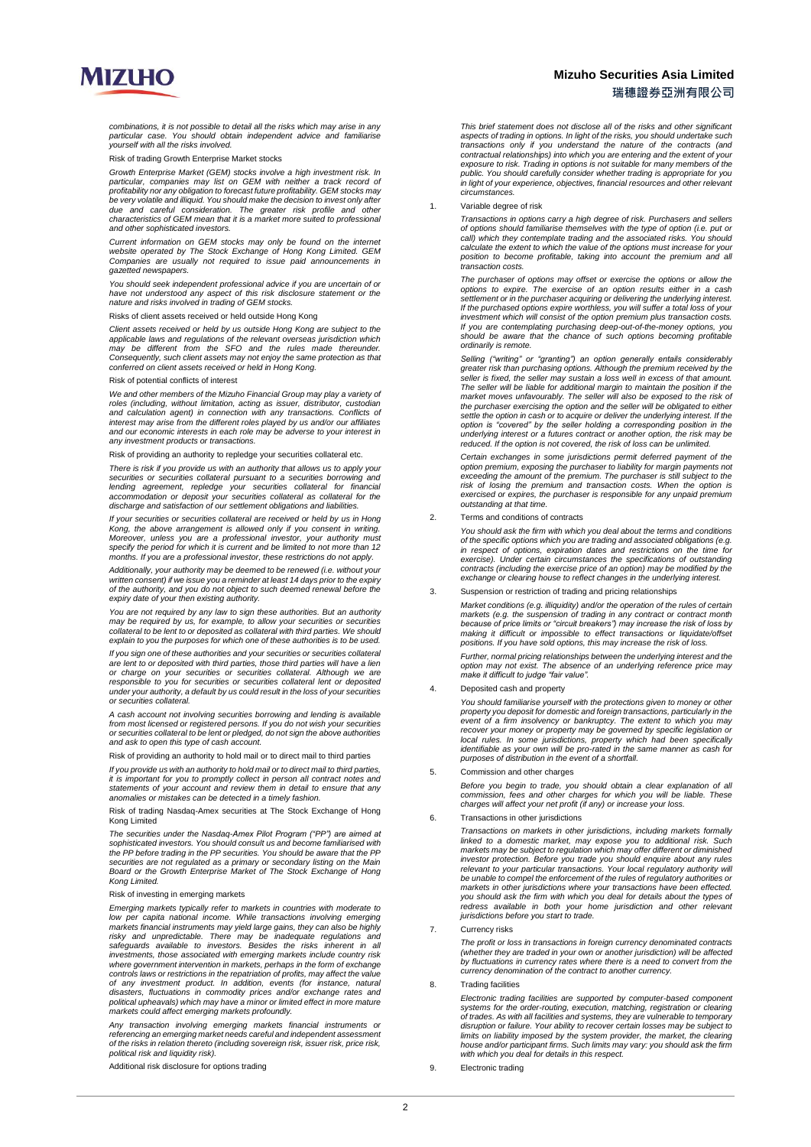

*combinations, it is not possible to detail all the risks which may arise in any particular case. You should obtain independent advice and familiarise yourself with all the risks involved.*

Risk of trading Growth Enterprise Market stocks

*Growth Enterprise Market (GEM) stocks involve a high investment risk. In particular, companies may list on GEM with neither a track record of profitability nor any obligation to forecast future profitability. GEM stocks may be very volatile and illiquid. You should make the decision to invest only after due and careful consideration. The greater risk profile and other*  characteristics of GEM mean that it is a market more suited to professional *and other sophisticated investors.*

*Current information on GEM stocks may only be found on the internet website operated by The Stock Exchange of Hong Kong Limited. GEM Companies are usually not required to issue paid announcements in gazetted newspapers.*

*You should seek independent professional advice if you are uncertain of or have not understood any aspect of this risk disclosure statement or the nature and risks involved in trading of GEM stocks.*

Risks of client assets received or held outside Hong Kong

*Client assets received or held by us outside Hong Kong are subject to the applicable laws and regulations of the relevant overseas jurisdiction which may be different from the SFO and the rules made thereunder. Consequently, such client assets may not enjoy the same protection as that conferred on client assets received or held in Hong Kong.*

# Risk of potential conflicts of interest

*We and other members of the Mizuho Financial Group may play a variety of roles (including, without limitation, acting as issuer, distributor, custodian and calculation agent) in connection with any transactions. Conflicts of interest may arise from the different roles played by us and/or our affiliates and our economic interests in each role may be adverse to your interest in any investment products or transactions.*

Risk of providing an authority to repledge your securities collateral etc.

*There is risk if you provide us with an authority that allows us to apply your securities or securities collateral pursuant to a securities borrowing and*  lending agreement, repledge your securities collateral for financial<br>accommodation or deposit your securities collateral as collateral for the<br>discharge·and·satisfaction·of·our·settlement·obligations·and·liabilities.

*If your securities or securities collateral are received or held by us in Hong*  Kong, the above arrangement is allowed only if you consent in writing.<br>Moreover, unless you are a professional investor, your authority must<br>specify the period for which it is current and be limited to not more than 12 *months. If you are a professional investor, these restrictions do not apply.*

*Additionally, your authority may be deemed to be renewed (i.e. without your written consent) if we issue you a reminder at least 14 days prior to the expiry of the authority, and you do not object to such deemed renewal before the expiry date of your then existing authority.*

*You are not required by any law to sign these authorities. But an authority*  may be required by us, for example, to allow your securities or securities<br>collateral to be lent to or deposited as collateral with third parties. We should *explain to you the purposes for which one of these authorities is to be used.*

*If you sign one of these authorities and your securities or securities collateral are lent to or deposited with third parties, those third parties will have a lien or charge on your securities or securities collateral. Although we are responsible to you for securities or securities collateral lent or deposited under your authority, a default by us could result in the loss of your securities or securities collateral.*

*A cash account not involving securities borrowing and lending is available from most licensed or registered persons. If you do not wish your securities or securities collateral to be lent or pledged, do not sign the above authorities and ask to open this type of cash account.*

Risk of providing an authority to hold mail or to direct mail to third parties

*If you provide us with an authority to hold mail or to direct mail to third parties, it is important for you to promptly collect in person all contract notes and statements of your account and review them in detail to ensure that any anomalies or mistakes can be detected in a timely fashion.*

Risk of trading Nasdaq-Amex securities at The Stock Exchange of Hong Kong Limited

*The securities under the Nasdaq-Amex Pilot Program ("PP") are aimed at sophisticated investors. You should consult us and become familiarised with the PP before trading in the PP securities. You should be aware that the PP securities are not regulated as a primary or secondary listing on the Main Board or the Growth Enterprise Market of The Stock Exchange of Hong Kong Limited.*

# Risk of investing in emerging markets

*Emerging markets typically refer to markets in countries with moderate to low per capita national income. While transactions involving emerging*  markets financial instruments may yield large gains, they can also be highly<br>risky and unpredictable. There may be inadequate regulations and<br>safeguards available to investors. Besides the risks *investments, those associated with emerging markets include country risk where government intervention in markets, perhaps in the form of exchange*  controls laws or restrictions in the repatriation of profits, may affect the value<br>of any investment product. In addition, events (for instance, natural<br>disasters, fluctuations in commodity prices *markets could affect emerging markets profoundly.*

*Any transaction involving emerging markets financial instruments or referencing an emerging market needs careful and independent assessment of the risks in relation thereto (including sovereign risk, issuer risk, price risk, political risk and liquidity risk).*

Additional risk disclosure for options trading

# **Mizuho Securities Asia Limited 瑞穗證券亞洲有限公司**

*This brief statement does not disclose all of the risks and other significant*  aspects of trading in options. In light of the risks, you should undertake such<br>transactions only if you understand the nature of the contracts (and<br>contractual relationships) into which you are entering and the e *exposure to risk. Trading in options is not suitable for many members of the public. You should carefully consider whether trading is appropriate for you in light of your experience, objectives, financial resources and other relevant circumstances.*

# 1. Variable degree of risk

Transactions in options carry a high degree of risk. Purchasers and sellers<br>of options should familiarise themselves with the type of option (i.e. put or<br>call) which they contemplate trading and the associated risks. You s *calculate the extent to which the value of the options must increase for your position to become profitable, taking into account the premium and all transaction costs.*

*The purchaser of options may offset or exercise the options or allow the options to expire. The exercise of an option results either in a cash settlement or in the purchaser acquiring or delivering the underlying interest. If the purchased options expire worthless, you will suffer a total loss of your investment which will consist of the option premium plus transaction costs. If you are contemplating purchasing deep-out-of-the-money options, you should be aware that the chance of such options becoming profitable ordinarily is remote.*

Selling ("writing" or "granting") an option generally entails considerably<br>greater risk than purchasing options. Although the premium received by the<br>seller is fixed, the seller may sustain a loss well in excess of that am settle the option in cash or to acquire or deliver the underlying interest. If the<br>option is "covered" by the seller holding a corresponding position in the<br>underlying interest or a futures contract or another option, the

*Certain exchanges in some jurisdictions permit deferred payment of the option premium, exposing the purchaser to liability for margin payments not exceeding the amount of the premium. The purchaser is still subject to the risk of losing the premium and transaction costs. When the option is exercised or expires, the purchaser is responsible for any unpaid premium outstanding at that time.*

2. Terms and conditions of contracts

*You should ask the firm with which you deal about the terms and conditions of the specific options which you are trading and associated obligations (e.g. in respect of options, expiration dates and restrictions on the time for exercise). Under certain circumstances the specifications of outstanding contracts (including the exercise price of an option) may be modified by the exchange or clearing house to reflect changes in the underlying interest.*

3. Suspension or restriction of trading and pricing relationships

*Market conditions (e.g. illiquidity) and/or the operation of the rules of certain markets (e.g. the suspension of trading in any contract or contract month because of price limits or "circuit breakers") may increase the risk of loss by making it difficult or impossible to effect transactions or liquidate/offset positions. If you have sold options, this may increase the risk of loss.*

*Further, normal pricing relationships between the underlying interest and the option may not exist. The absence of an underlying reference price may make it difficult to judge "fair value".*

Deposited cash and property

You should familiarise yourself with the protections given to money or other *property you deposit for domestic and foreign transactions*, particularly in the event of a firm insolvency or bankruptcy. The extent to which you may<br>recover your money or property may be governed by specific legislation or<br>local rules. In some jurisdictions, property which had been specifically<br>ident *purposes of distribution in the event of a shortfall.*

5. Commission and other charges

Before you begin to trade, you should obtain a clear explanation of all<br>commission, fees and other charges for which you will be liable. These<br>charges will affect your net profit (if any) or increase your loss.

6. Transactions in other jurisdictions

Transactions on markets in other jurisdictions, including markets formally<br>linked to a domestic market, may expose you to additional risk. Such<br>markets may be subject to regulation which may offer different or diminished<br>i *be unable to compel the enforcement of the rules of regulatory authorities or markets in other jurisdictions where your transactions have been effected. you should ask the firm with which you deal for details about the types of redress available in both your home jurisdiction and other relevant jurisdictions before you start to trade.*

Currency risks

The profit or loss in transactions in foreign currency denominated contracts<br>(whether they are traded in your own or another jurisdiction) will be affected *by fluctuations in currency rates where there is a need to convert from the currency denomination of the contract to another currency.*

8. Trading facilities

Electronic trading facilities are supported by computer-based component<br>systems for the order-routing, execution, matching, registration or clearing<br>of trades. As with all facilities and systems, they are vulnerable to tem disruption or failure. Your ability to recover certain losses may be subject to<br>limits on liability imposed by the system provider, the market, the clearing<br>house and/or participant firms. Such limits may vary: you should *with which you deal for details in this respect.*

9. Electronic trading